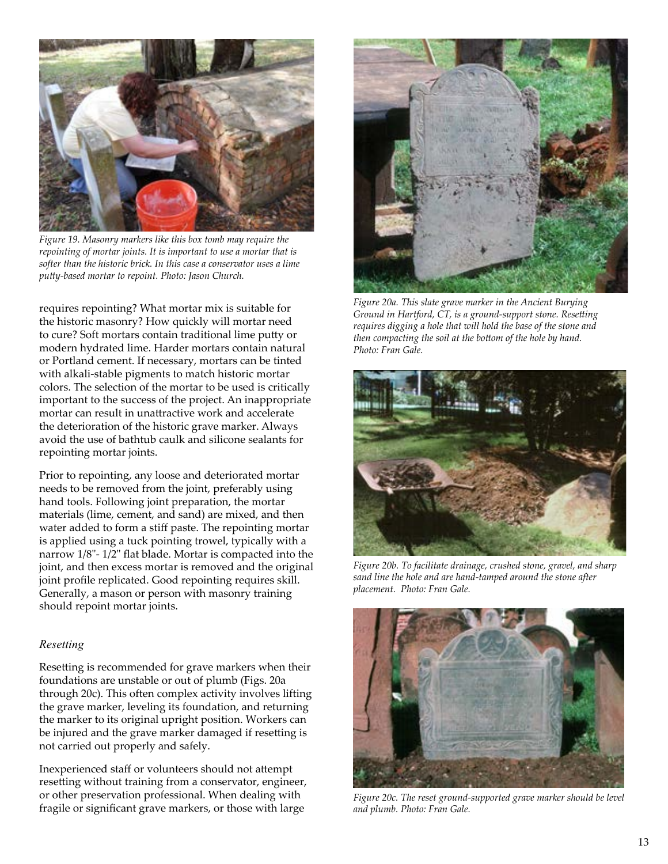

*Figure 19. Masonry markers like this box tomb may require the repointing of mortar joints. It is important to use a mortar that is softer than the historic brick. In this case a conservator uses a lime putty-based mortar to repoint. Photo: Jason Church.*

requires repointing? What mortar mix is suitable for the historic masonry? How quickly will mortar need to cure? Soft mortars contain traditional lime putty or modern hydrated lime. Harder mortars contain natural or Portland cement. If necessary, mortars can be tinted with alkali-stable pigments to match historic mortar colors. The selection of the mortar to be used is critically important to the success of the project. An inappropriate mortar can result in unattractive work and accelerate the deterioration of the historic grave marker. Always avoid the use of bathtub caulk and silicone sealants for repointing mortar joints.

Prior to repointing, any loose and deteriorated mortar needs to be removed from the joint, preferably using hand tools. Following joint preparation, the mortar materials (lime, cement, and sand) are mixed, and then water added to form a stiff paste. The repointing mortar is applied using a tuck pointing trowel, typically with a narrow 1/8"- 1/2" flat blade. Mortar is compacted into the joint, and then excess mortar is removed and the original joint profile replicated. Good repointing requires skill. Generally, a mason or person with masonry training should repoint mortar joints.

#### *Resetting*

Resetting is recommended for grave markers when their foundations are unstable or out of plumb (Figs. 20a through 20c). This often complex activity involves lifting the grave marker, leveling its foundation, and returning the marker to its original upright position. Workers can be injured and the grave marker damaged if resetting is not carried out properly and safely.

Inexperienced staff or volunteers should not attempt resetting without training from a conservator, engineer, or other preservation professional. When dealing with fragile or significant grave markers, or those with large



*Figure 20a. This slate grave marker in the Ancient Burying Ground in Hartford, CT, is a ground-support stone. Resetting requires digging a hole that will hold the base of the stone and then compacting the soil at the bottom of the hole by hand. Photo: Fran Gale.*



*Figure 20b. To facilitate drainage, crushed stone, gravel, and sharp sand line the hole and are hand-tamped around the stone after placement. Photo: Fran Gale.*



*Figure 20c. The reset ground-supported grave marker should be level and plumb. Photo: Fran Gale.*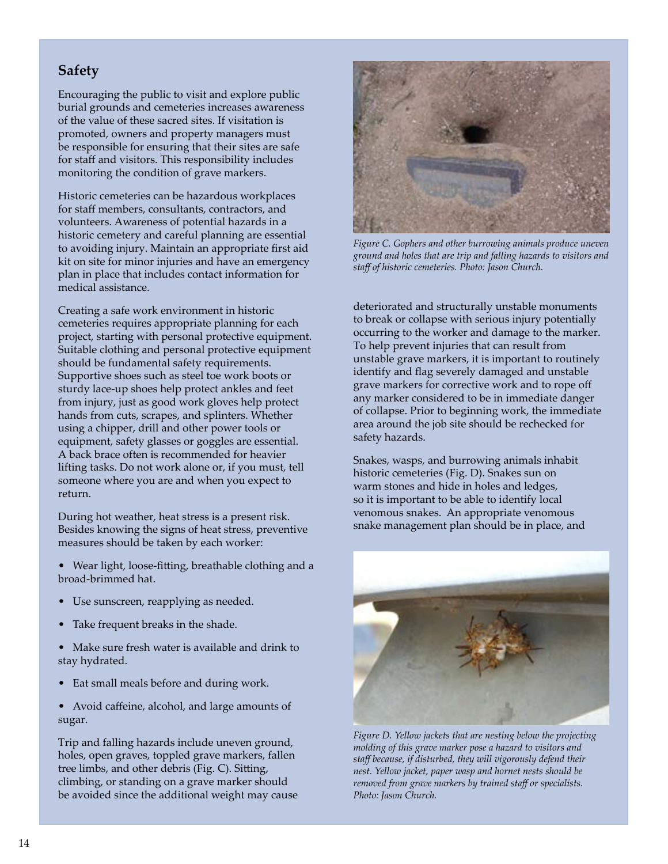# **Safety**

Encouraging the public to visit and explore public burial grounds and cemeteries increases awareness of the value of these sacred sites. If visitation is promoted, owners and property managers must be responsible for ensuring that their sites are safe for staff and visitors. This responsibility includes monitoring the condition of grave markers.

Historic cemeteries can be hazardous workplaces for staff members, consultants, contractors, and volunteers. Awareness of potential hazards in a historic cemetery and careful planning are essential to avoiding injury. Maintain an appropriate first aid kit on site for minor injuries and have an emergency plan in place that includes contact information for medical assistance.

Creating a safe work environment in historic cemeteries requires appropriate planning for each project, starting with personal protective equipment. Suitable clothing and personal protective equipment should be fundamental safety requirements. Supportive shoes such as steel toe work boots or sturdy lace-up shoes help protect ankles and feet from injury, just as good work gloves help protect hands from cuts, scrapes, and splinters. Whether using a chipper, drill and other power tools or equipment, safety glasses or goggles are essential. A back brace often is recommended for heavier lifting tasks. Do not work alone or, if you must, tell someone where you are and when you expect to return.

During hot weather, heat stress is a present risk. Besides knowing the signs of heat stress, preventive measures should be taken by each worker:

- Wear light, loose-fitting, breathable clothing and a broad-brimmed hat.
- Use sunscreen, reapplying as needed.
- Take frequent breaks in the shade.
- Make sure fresh water is available and drink to stay hydrated.
- Eat small meals before and during work.
- Avoid caffeine, alcohol, and large amounts of sugar.

Trip and falling hazards include uneven ground, holes, open graves, toppled grave markers, fallen tree limbs, and other debris (Fig. C). Sitting, climbing, or standing on a grave marker should be avoided since the additional weight may cause



*Figure C. Gophers and other burrowing animals produce uneven ground and holes that are trip and falling hazards to visitors and staff of historic cemeteries. Photo: Jason Church.*

deteriorated and structurally unstable monuments to break or collapse with serious injury potentially occurring to the worker and damage to the marker. To help prevent injuries that can result from unstable grave markers, it is important to routinely identify and flag severely damaged and unstable grave markers for corrective work and to rope off any marker considered to be in immediate danger of collapse. Prior to beginning work, the immediate area around the job site should be rechecked for safety hazards.

Snakes, wasps, and burrowing animals inhabit historic cemeteries (Fig. D). Snakes sun on warm stones and hide in holes and ledges, so it is important to be able to identify local venomous snakes. An appropriate venomous snake management plan should be in place, and



*Figure D. Yellow jackets that are nesting below the projecting molding of this grave marker pose a hazard to visitors and staff because, if disturbed, they will vigorously defend their nest. Yellow jacket, paper wasp and hornet nests should be removed from grave markers by trained staff or specialists. Photo: Jason Church.*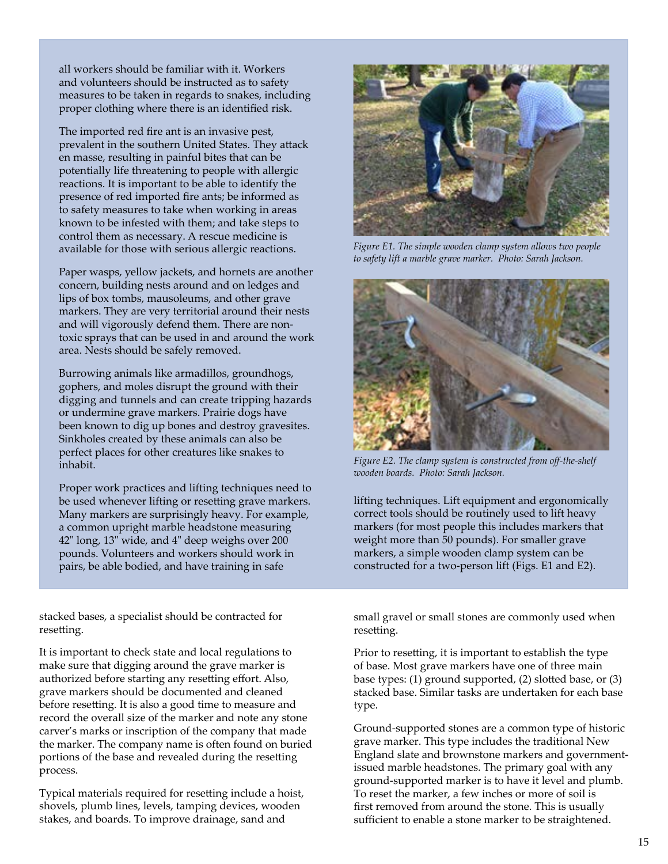all workers should be familiar with it. Workers and volunteers should be instructed as to safety measures to be taken in regards to snakes, including proper clothing where there is an identified risk.

The imported red fire ant is an invasive pest, prevalent in the southern United States. They attack en masse, resulting in painful bites that can be potentially life threatening to people with allergic reactions. It is important to be able to identify the presence of red imported fire ants; be informed as to safety measures to take when working in areas known to be infested with them; and take steps to control them as necessary. A rescue medicine is available for those with serious allergic reactions.

Paper wasps, yellow jackets, and hornets are another concern, building nests around and on ledges and lips of box tombs, mausoleums, and other grave markers. They are very territorial around their nests and will vigorously defend them. There are nontoxic sprays that can be used in and around the work area. Nests should be safely removed.

Burrowing animals like armadillos, groundhogs, gophers, and moles disrupt the ground with their digging and tunnels and can create tripping hazards or undermine grave markers. Prairie dogs have been known to dig up bones and destroy gravesites. Sinkholes created by these animals can also be perfect places for other creatures like snakes to inhabit.

Proper work practices and lifting techniques need to be used whenever lifting or resetting grave markers. Many markers are surprisingly heavy. For example, a common upright marble headstone measuring 42" long, 13" wide, and 4" deep weighs over 200 pounds. Volunteers and workers should work in pairs, be able bodied, and have training in safe

stacked bases, a specialist should be contracted for resetting.

It is important to check state and local regulations to make sure that digging around the grave marker is authorized before starting any resetting effort. Also, grave markers should be documented and cleaned before resetting. It is also a good time to measure and record the overall size of the marker and note any stone carver's marks or inscription of the company that made the marker. The company name is often found on buried portions of the base and revealed during the resetting process.

Typical materials required for resetting include a hoist, shovels, plumb lines, levels, tamping devices, wooden stakes, and boards. To improve drainage, sand and



*Figure E1. The simple wooden clamp system allows two people to safety lift a marble grave marker. Photo: Sarah Jackson.*



*Figure E2. The clamp system is constructed from off-the-shelf wooden boards. Photo: Sarah Jackson.*

lifting techniques. Lift equipment and ergonomically correct tools should be routinely used to lift heavy markers (for most people this includes markers that weight more than 50 pounds). For smaller grave markers, a simple wooden clamp system can be constructed for a two-person lift (Figs. E1 and E2).

small gravel or small stones are commonly used when resetting.

Prior to resetting, it is important to establish the type of base. Most grave markers have one of three main base types: (1) ground supported, (2) slotted base, or (3) stacked base. Similar tasks are undertaken for each base type.

Ground-supported stones are a common type of historic grave marker. This type includes the traditional New England slate and brownstone markers and governmentissued marble headstones. The primary goal with any ground-supported marker is to have it level and plumb. To reset the marker, a few inches or more of soil is first removed from around the stone. This is usually sufficient to enable a stone marker to be straightened.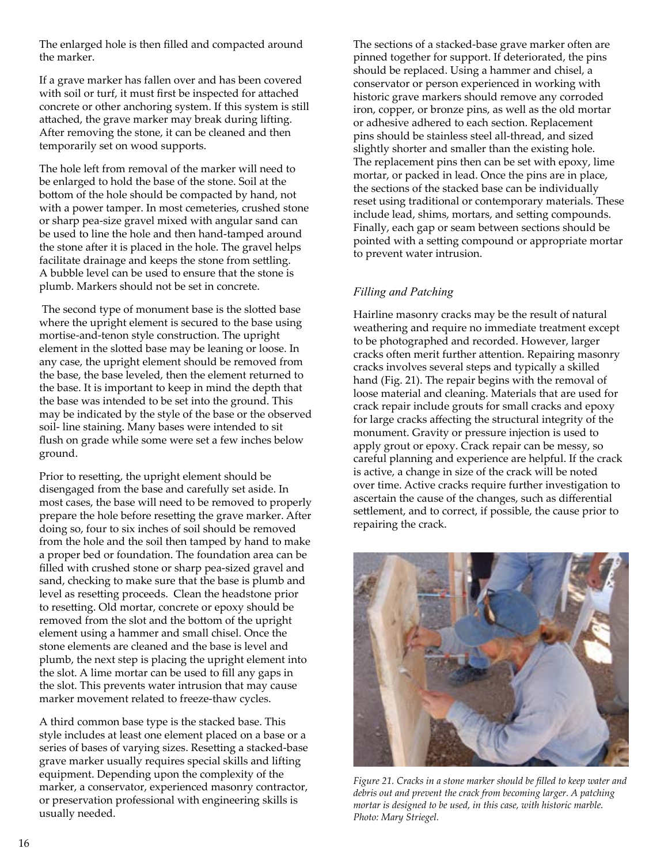The enlarged hole is then filled and compacted around the marker.

If a grave marker has fallen over and has been covered with soil or turf, it must first be inspected for attached concrete or other anchoring system. If this system is still attached, the grave marker may break during lifting. After removing the stone, it can be cleaned and then temporarily set on wood supports.

The hole left from removal of the marker will need to be enlarged to hold the base of the stone. Soil at the bottom of the hole should be compacted by hand, not with a power tamper. In most cemeteries, crushed stone or sharp pea-size gravel mixed with angular sand can be used to line the hole and then hand-tamped around the stone after it is placed in the hole. The gravel helps facilitate drainage and keeps the stone from settling. A bubble level can be used to ensure that the stone is plumb. Markers should not be set in concrete.

 The second type of monument base is the slotted base where the upright element is secured to the base using mortise-and-tenon style construction. The upright element in the slotted base may be leaning or loose. In any case, the upright element should be removed from the base, the base leveled, then the element returned to the base. It is important to keep in mind the depth that the base was intended to be set into the ground. This may be indicated by the style of the base or the observed soil- line staining. Many bases were intended to sit flush on grade while some were set a few inches below ground.

Prior to resetting, the upright element should be disengaged from the base and carefully set aside. In most cases, the base will need to be removed to properly prepare the hole before resetting the grave marker. After doing so, four to six inches of soil should be removed from the hole and the soil then tamped by hand to make a proper bed or foundation. The foundation area can be filled with crushed stone or sharp pea-sized gravel and sand, checking to make sure that the base is plumb and level as resetting proceeds. Clean the headstone prior to resetting. Old mortar, concrete or epoxy should be removed from the slot and the bottom of the upright element using a hammer and small chisel. Once the stone elements are cleaned and the base is level and plumb, the next step is placing the upright element into the slot. A lime mortar can be used to fill any gaps in the slot. This prevents water intrusion that may cause marker movement related to freeze-thaw cycles.

A third common base type is the stacked base. This style includes at least one element placed on a base or a series of bases of varying sizes. Resetting a stacked-base grave marker usually requires special skills and lifting equipment. Depending upon the complexity of the marker, a conservator, experienced masonry contractor, or preservation professional with engineering skills is usually needed.

The sections of a stacked-base grave marker often are pinned together for support. If deteriorated, the pins should be replaced. Using a hammer and chisel, a conservator or person experienced in working with historic grave markers should remove any corroded iron, copper, or bronze pins, as well as the old mortar or adhesive adhered to each section. Replacement pins should be stainless steel all-thread, and sized slightly shorter and smaller than the existing hole. The replacement pins then can be set with epoxy, lime mortar, or packed in lead. Once the pins are in place, the sections of the stacked base can be individually reset using traditional or contemporary materials. These include lead, shims, mortars, and setting compounds. Finally, each gap or seam between sections should be pointed with a setting compound or appropriate mortar to prevent water intrusion.

#### *Filling and Patching*

Hairline masonry cracks may be the result of natural weathering and require no immediate treatment except to be photographed and recorded. However, larger cracks often merit further attention. Repairing masonry cracks involves several steps and typically a skilled hand (Fig. 21). The repair begins with the removal of loose material and cleaning. Materials that are used for crack repair include grouts for small cracks and epoxy for large cracks affecting the structural integrity of the monument. Gravity or pressure injection is used to apply grout or epoxy. Crack repair can be messy, so careful planning and experience are helpful. If the crack is active, a change in size of the crack will be noted over time. Active cracks require further investigation to ascertain the cause of the changes, such as differential settlement, and to correct, if possible, the cause prior to repairing the crack.



*Figure 21. Cracks in a stone marker should be filled to keep water and debris out and prevent the crack from becoming larger. A patching mortar is designed to be used, in this case, with historic marble. Photo: Mary Striegel.*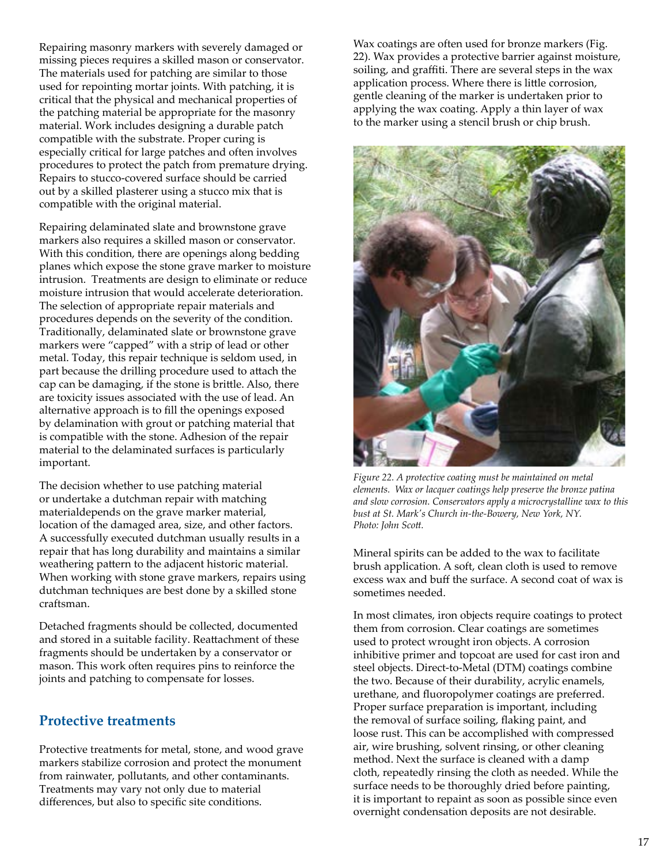Repairing masonry markers with severely damaged or missing pieces requires a skilled mason or conservator. The materials used for patching are similar to those used for repointing mortar joints. With patching, it is critical that the physical and mechanical properties of the patching material be appropriate for the masonry material. Work includes designing a durable patch compatible with the substrate. Proper curing is especially critical for large patches and often involves procedures to protect the patch from premature drying. Repairs to stucco-covered surface should be carried out by a skilled plasterer using a stucco mix that is compatible with the original material.

Repairing delaminated slate and brownstone grave markers also requires a skilled mason or conservator. With this condition, there are openings along bedding planes which expose the stone grave marker to moisture intrusion. Treatments are design to eliminate or reduce moisture intrusion that would accelerate deterioration. The selection of appropriate repair materials and procedures depends on the severity of the condition. Traditionally, delaminated slate or brownstone grave markers were "capped" with a strip of lead or other metal. Today, this repair technique is seldom used, in part because the drilling procedure used to attach the cap can be damaging, if the stone is brittle. Also, there are toxicity issues associated with the use of lead. An alternative approach is to fill the openings exposed by delamination with grout or patching material that is compatible with the stone. Adhesion of the repair material to the delaminated surfaces is particularly important.

The decision whether to use patching material or undertake a dutchman repair with matching materialdepends on the grave marker material, location of the damaged area, size, and other factors. A successfully executed dutchman usually results in a repair that has long durability and maintains a similar weathering pattern to the adjacent historic material. When working with stone grave markers, repairs using dutchman techniques are best done by a skilled stone craftsman.

Detached fragments should be collected, documented and stored in a suitable facility. Reattachment of these fragments should be undertaken by a conservator or mason. This work often requires pins to reinforce the joints and patching to compensate for losses.

#### **Protective treatments**

Protective treatments for metal, stone, and wood grave markers stabilize corrosion and protect the monument from rainwater, pollutants, and other contaminants. Treatments may vary not only due to material differences, but also to specific site conditions.

Wax coatings are often used for bronze markers (Fig. 22). Wax provides a protective barrier against moisture, soiling, and graffiti. There are several steps in the wax application process. Where there is little corrosion, gentle cleaning of the marker is undertaken prior to applying the wax coating. Apply a thin layer of wax to the marker using a stencil brush or chip brush.



*Figure 22. A protective coating must be maintained on metal elements. Wax or lacquer coatings help preserve the bronze patina and slow corrosion. Conservators apply a microcrystalline wax to this bust at St. Mark's Church in-the-Bowery, New York, NY. Photo: John Scott.*

Mineral spirits can be added to the wax to facilitate brush application. A soft, clean cloth is used to remove excess wax and buff the surface. A second coat of wax is sometimes needed.

In most climates, iron objects require coatings to protect them from corrosion. Clear coatings are sometimes used to protect wrought iron objects. A corrosion inhibitive primer and topcoat are used for cast iron and steel objects. Direct-to-Metal (DTM) coatings combine the two. Because of their durability, acrylic enamels, urethane, and fluoropolymer coatings are preferred. Proper surface preparation is important, including the removal of surface soiling, flaking paint, and loose rust. This can be accomplished with compressed air, wire brushing, solvent rinsing, or other cleaning method. Next the surface is cleaned with a damp cloth, repeatedly rinsing the cloth as needed. While the surface needs to be thoroughly dried before painting, it is important to repaint as soon as possible since even overnight condensation deposits are not desirable.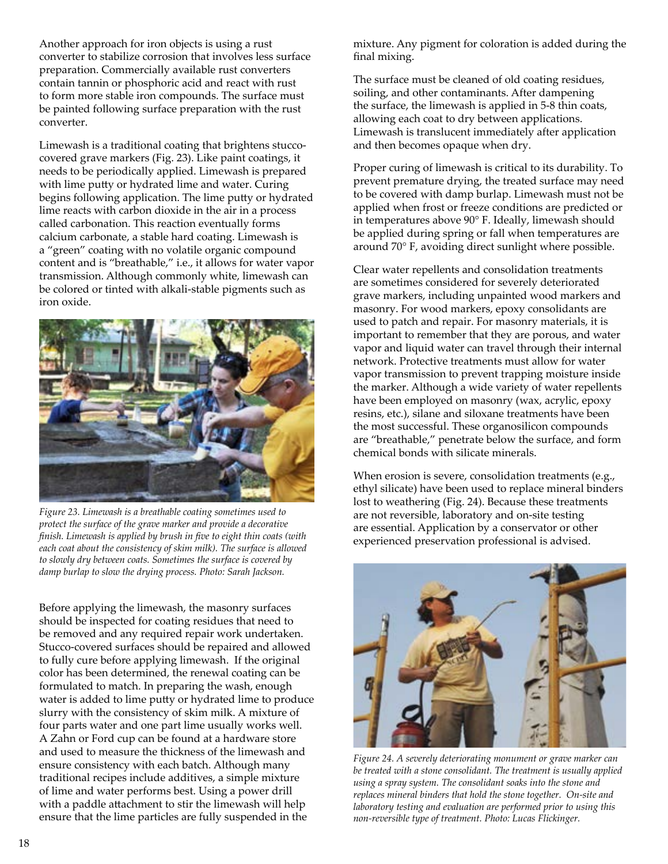Another approach for iron objects is using a rust converter to stabilize corrosion that involves less surface preparation. Commercially available rust converters contain tannin or phosphoric acid and react with rust to form more stable iron compounds. The surface must be painted following surface preparation with the rust converter.

Limewash is a traditional coating that brightens stuccocovered grave markers (Fig. 23). Like paint coatings, it needs to be periodically applied. Limewash is prepared with lime putty or hydrated lime and water. Curing begins following application. The lime putty or hydrated lime reacts with carbon dioxide in the air in a process called carbonation. This reaction eventually forms calcium carbonate, a stable hard coating. Limewash is a "green" coating with no volatile organic compound content and is "breathable," i.e., it allows for water vapor transmission. Although commonly white, limewash can be colored or tinted with alkali-stable pigments such as iron oxide.



*Figure 23. Limewash is a breathable coating sometimes used to protect the surface of the grave marker and provide a decorative finish. Limewash is applied by brush in five to eight thin coats (with each coat about the consistency of skim milk). The surface is allowed to slowly dry between coats. Sometimes the surface is covered by damp burlap to slow the drying process. Photo: Sarah Jackson.*

Before applying the limewash, the masonry surfaces should be inspected for coating residues that need to be removed and any required repair work undertaken. Stucco-covered surfaces should be repaired and allowed to fully cure before applying limewash. If the original color has been determined, the renewal coating can be formulated to match. In preparing the wash, enough water is added to lime putty or hydrated lime to produce slurry with the consistency of skim milk. A mixture of four parts water and one part lime usually works well. A Zahn or Ford cup can be found at a hardware store and used to measure the thickness of the limewash and ensure consistency with each batch. Although many traditional recipes include additives, a simple mixture of lime and water performs best. Using a power drill with a paddle attachment to stir the limewash will help ensure that the lime particles are fully suspended in the

mixture. Any pigment for coloration is added during the final mixing.

The surface must be cleaned of old coating residues, soiling, and other contaminants. After dampening the surface, the limewash is applied in 5-8 thin coats, allowing each coat to dry between applications. Limewash is translucent immediately after application and then becomes opaque when dry.

Proper curing of limewash is critical to its durability. To prevent premature drying, the treated surface may need to be covered with damp burlap. Limewash must not be applied when frost or freeze conditions are predicted or in temperatures above 90° F. Ideally, limewash should be applied during spring or fall when temperatures are around 70° F, avoiding direct sunlight where possible.

Clear water repellents and consolidation treatments are sometimes considered for severely deteriorated grave markers, including unpainted wood markers and masonry. For wood markers, epoxy consolidants are used to patch and repair. For masonry materials, it is important to remember that they are porous, and water vapor and liquid water can travel through their internal network. Protective treatments must allow for water vapor transmission to prevent trapping moisture inside the marker. Although a wide variety of water repellents have been employed on masonry (wax, acrylic, epoxy resins, etc.), silane and siloxane treatments have been the most successful. These organosilicon compounds are "breathable," penetrate below the surface, and form chemical bonds with silicate minerals.

When erosion is severe, consolidation treatments (e.g., ethyl silicate) have been used to replace mineral binders lost to weathering (Fig. 24). Because these treatments are not reversible, laboratory and on-site testing are essential. Application by a conservator or other experienced preservation professional is advised.



*Figure 24. A severely deteriorating monument or grave marker can be treated with a stone consolidant. The treatment is usually applied using a spray system. The consolidant soaks into the stone and replaces mineral binders that hold the stone together. On-site and laboratory testing and evaluation are performed prior to using this non-reversible type of treatment. Photo: Lucas Flickinger.*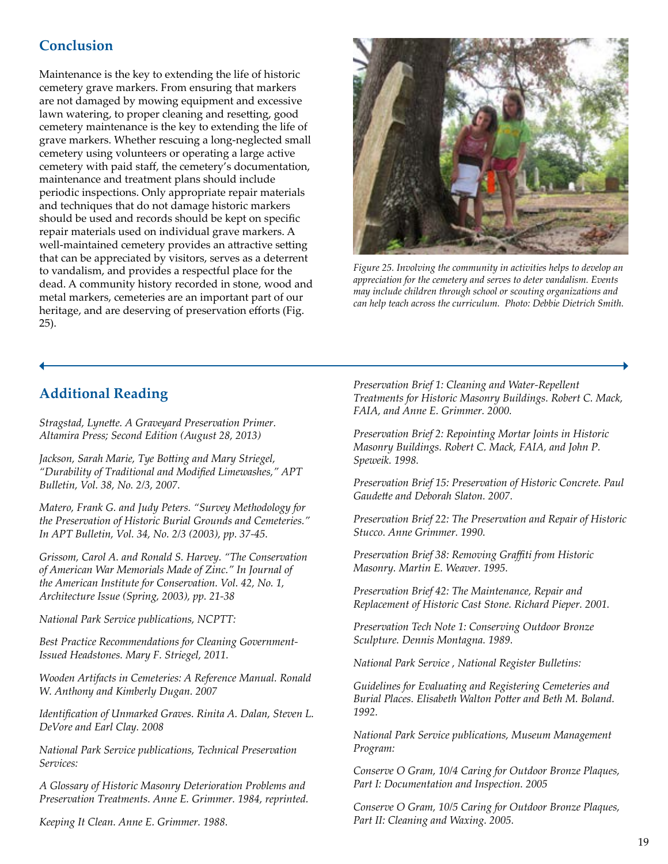### **Conclusion**

Maintenance is the key to extending the life of historic cemetery grave markers. From ensuring that markers are not damaged by mowing equipment and excessive lawn watering, to proper cleaning and resetting, good cemetery maintenance is the key to extending the life of grave markers. Whether rescuing a long-neglected small cemetery using volunteers or operating a large active cemetery with paid staff, the cemetery's documentation, maintenance and treatment plans should include periodic inspections. Only appropriate repair materials and techniques that do not damage historic markers should be used and records should be kept on specific repair materials used on individual grave markers. A well-maintained cemetery provides an attractive setting that can be appreciated by visitors, serves as a deterrent to vandalism, and provides a respectful place for the dead. A community history recorded in stone, wood and metal markers, cemeteries are an important part of our heritage, and are deserving of preservation efforts (Fig. 25).



*Figure 25. Involving the community in activities helps to develop an appreciation for the cemetery and serves to deter vandalism. Events may include children through school or scouting organizations and can help teach across the curriculum. Photo: Debbie Dietrich Smith.*

# **Additional Reading**

*Stragstad, Lynette. A Graveyard Preservation Primer. Altamira Press; Second Edition (August 28, 2013)*

*Jackson, Sarah Marie, Tye Botting and Mary Striegel, "Durability of Traditional and Modified Limewashes," APT Bulletin, Vol. 38, No. 2/3, 2007.*

*Matero, Frank G. and Judy Peters. "Survey Methodology for the Preservation of Historic Burial Grounds and Cemeteries." In APT Bulletin, Vol. 34, No. 2/3 (2003), pp. 37-45.*

*Grissom, Carol A. and Ronald S. Harvey. "The Conservation of American War Memorials Made of Zinc." In Journal of the American Institute for Conservation. Vol. 42, No. 1, Architecture Issue (Spring, 2003), pp. 21-38* 

*National Park Service publications, NCPTT:*

*Best Practice Recommendations for Cleaning Government-Issued Headstones. Mary F. Striegel, 2011.* 

*Wooden Artifacts in Cemeteries: A Reference Manual. Ronald W. Anthony and Kimberly Dugan. 2007*

*Identification of Unmarked Graves. Rinita A. Dalan, Steven L. DeVore and Earl Clay. 2008*

*National Park Service publications, Technical Preservation Services:*

*A Glossary of Historic Masonry Deterioration Problems and Preservation Treatments. Anne E. Grimmer. 1984, reprinted.*

*Keeping It Clean. Anne E. Grimmer. 1988.* 

*Preservation Brief 1: Cleaning and Water-Repellent Treatments for Historic Masonry Buildings. Robert C. Mack, FAIA, and Anne E. Grimmer. 2000.*

*Preservation Brief 2: Repointing Mortar Joints in Historic Masonry Buildings. Robert C. Mack, FAIA, and John P. Speweik. 1998.*

*Preservation Brief 15: Preservation of Historic Concrete. Paul Gaudette and Deborah Slaton. 2007.*

*Preservation Brief 22: The Preservation and Repair of Historic Stucco. Anne Grimmer. 1990.*

*Preservation Brief 38: Removing Graffiti from Historic Masonry. Martin E. Weaver. 1995.*

*Preservation Brief 42: The Maintenance, Repair and Replacement of Historic Cast Stone. Richard Pieper. 2001.*

*Preservation Tech Note 1: Conserving Outdoor Bronze Sculpture. Dennis Montagna. 1989.*

*National Park Service , National Register Bulletins:*

*Guidelines for Evaluating and Registering Cemeteries and Burial Places. Elisabeth Walton Potter and Beth M. Boland. 1992.*

*National Park Service publications, Museum Management Program:* 

*Conserve O Gram, 10/4 Caring for Outdoor Bronze Plaques, Part I: Documentation and Inspection. 2005*

*Conserve O Gram, 10/5 Caring for Outdoor Bronze Plaques, Part II: Cleaning and Waxing. 2005.*